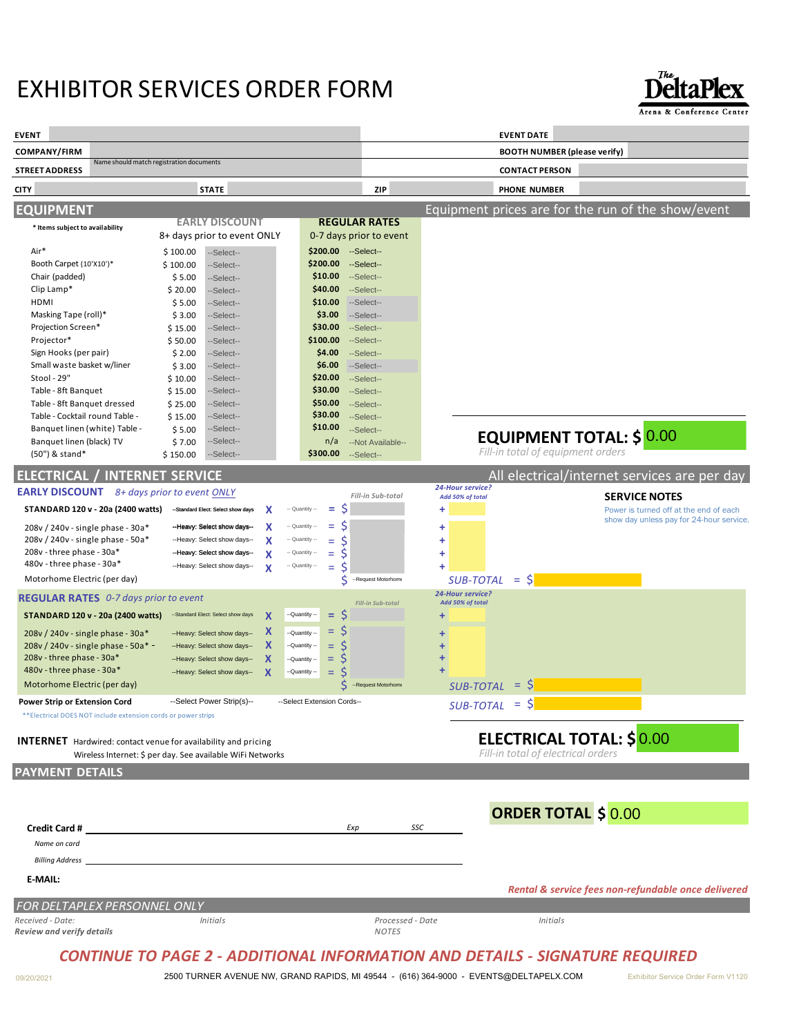## EXHIBITOR SERVICES ORDER FORM



**CITY STATE ZIP PHONE NUMBER ELECTRICAL / INTERNET SERVICE** All electrical/internet services are per day **EVENT EVENT DATE COMPANY/FIRM BOOTH NUMBER (please verify) STREET ADDRESS** Name should match registration documents **CONTACT PERSON EQUIPMENT** Equipment prices are for the run of the show/event **REGULAR RATES** 0-7 days prior to event Air\* Booth Carpet (10'X10')\* Chair (padded) Clip Lamp\* HDMI Masking Tape (roll)\* Projection Screen\* Projector\* Sign Hooks (per pair) Small waste basket w/liner Stool - 29" Table - 8ft Banquet Table - 8ft Banquet dressed Table - Cocktail round Table - Banquet linen (white) Table - Banquet linen (black) TV (50") & stand\* **\* Items subject to availability SERVICE NOTES** Power is turned off at the end of each show day unless pay for 24-hour service. \*\*Electrical DOES NOT include extension cords or power strips **INTERNET**  Hardwired: contact venue for availability and pricing Wireless Internet: \$ per day. See available WiFi Networks **PAYMENT DETAILS E-MAIL: Credit Card #** *Exp SSC Name on card Billing Address Rental & service fees non-refundable once delivered FOR DELTAPLEX PERSONNEL ONLY Received - Date: Initials Processed - Date Initials Review and verify details NOTES* **ORDER TOTAL \$ \$200.00 \$200.00 \$10.00 \$40.00 \$10.00 \$3.00 \$30.00 \$100.00 \$4.00 \$6.00 \$20.00 \$30.00 EQUIPMENT TOTAL: \$ \$50.00 \$30.00 \$10.00** n/a **\$300.00** \$ 100.00 \$ 100.00 \$ 5.00 \$ 20.00 \$ 5.00  $$ 3.00$ \$ 15.00 \$ 50.00  $$2.00$  $$3.00$ \$ 10.00 \$ 15.00 \$ 25.00 \$ 15.00  $$5.00$ \$ 7.00 \$ 150.00 **EARLY DISCOUNT** 8+ days prior to event ONLY **EARLY DISCOUNT** *8+ days prior to event ONLY* **STANDARD 120 v - 20a (2400 watts)** 208v / 240v - single phase - 30a\* 208v / 240v - single phase - 50a\* 208v - three phase - 30a\* 480v - three phase - 30a\* Motorhome Electric (per day)  $X$  - Quantity - =  $\zeta$  $X$   $-$  Quantity  $=$   $\zeta$  $X$   $-a$ <sup>Quantity -</sup> =  $\zeta$ **X**  $\rightarrow$  Quantity  $\rightarrow$  =  $\frac{1}{5}$ <br> **X**  $\rightarrow$  Quantity = =  $\frac{1}{5}$ <br> **X**  $\rightarrow$  Quantity = =  $\frac{1}{5}$ *24-Hour service? Fill-in Sub-total*  $\mathbf{X}$   $\sim$  Quantity  $\sim$  \$ **REGULAR RATES** *0-7 days prior to event* **STANDARD 120 v - 20a (2400 watts)** 208v / 240v - single phase - 30a\* 208v / 240v - single phase - 50a\* 208v - three phase - 30a\* 480v - three phase - 30a\* Motorhome Electric (per day) **X X X X X**  $=$  \$ = \$  $=$  \$<br>= \$  $=$ = \$ \$ **ELECTRICAL TOTAL: \$ Power Strip or Extension Cord +** = \$ *SUB-TOTAL* **+ + + + + + + + +** = \$ *SUB-TOTAL* = \$ *SUB-TOTAL 24-Hour service? Add 50% of total Fill-in Sub-total Add 50% of total Fill-in total of equipment orders Fill-in total of electrical orders* --Select-- --Select-- --Select-- --Select-- --Select-- --Select-- --Select-- --Select-- --Select-- --Select-- --Select-- --Select-- --Select-- --Select-- --Select-- --Select-- --Select-- --Select-- --Select-- --Select-- --Select-- --Select-- --Select-- --Select-- --Select-- --Select-- --Select-- --Select-- --Select-- --Select-- --Select-- --Select-- --Select-- --Not Available-- 0.00 --Standard Elect: Select show days<br>--Heavy: Select show days----Heavy: Select show days-- V -- Quantity --**--Heavy: Select show days---**  $X$  -- Quantity --<br>--Heavy: Select show days---  $X$  -- Quantity --<br>--Heavy: Select show days---  $X$  -- Quantity --<br>--Heavy: Select show days--  $X$  -- Quantity ----Standard Elect: Select show days-- --Heavy: Select show days-- --Heavy: Select show days-- --Heavy: Select show days-- --Heavy: Select show days-- Co event<br>  $\begin{array}{ccc}\n\text{So } & \text{S-Tequest Modern} & \text{SUB-TOTAL} & = \text{S}\n\end{array}$ <br>  $\begin{array}{ccc}\n-\text{Sander Show days} & \text{X} & -\text{Quantity} \cdot \cdot \cdot & = \text{S}\n\end{array}$ <br>  $\begin{array}{ccc}\n-\text{Hil-in Sub-total} & \text{Add 50% of total}\n\end{array}$ <br>  $\begin{array}{ccc}\n-\text{Hil-in Sub-total} & \text{Add 50% of total}\n\end{array}$ <br>  $\begin{array}{ccc}\n-\text{Hil-in Sub-total} & \text{Add 50%$ -Quantity --  $S$ <br>
-Cuantity --  $S$ <br>
-Cuantity --  $S$ <br>
-Cuantity --  $S$ <br>
-Cuantity --  $S$ <br>
-Cuantity --  $S$ <br>
-Cuantity --  $S$ <br>
-Request Motorhome<br>
SUB-TOTAL =  $S$ <br>
ELECTRICAL TOTAL:  $S$ <br>
FIII-in total of electrical orders<br>

## *CONTINUE TO PAGE 2 - ADDITIONAL INFORMATION AND DETAILS - SIGNATURE REQUIRED*

09/20/2021 2500 TURNER AVENUE NW, GRAND RAPIDS, MI 49544 - (616) 364-9000 - EVENTS@DELTAPELX.COM Exhibitor Service Order Form V1120